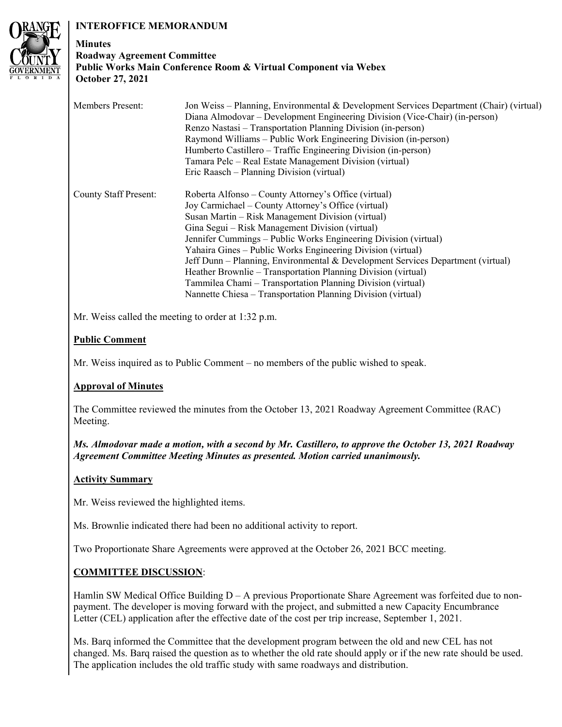# **INTEROFFICE MEMORANDUM**



## **Minutes Roadway Agreement Committee Public Works Main Conference Room & Virtual Component via Webex October 27, 2021**

| <b>Members Present:</b>      | Jon Weiss – Planning, Environmental & Development Services Department (Chair) (virtual)<br>Diana Almodovar – Development Engineering Division (Vice-Chair) (in-person)<br>Renzo Nastasi – Transportation Planning Division (in-person)<br>Raymond Williams – Public Work Engineering Division (in-person)<br>Humberto Castillero – Traffic Engineering Division (in-person)<br>Tamara Pelc – Real Estate Management Division (virtual)<br>Eric Raasch – Planning Division (virtual)                                                                                                                                                      |
|------------------------------|------------------------------------------------------------------------------------------------------------------------------------------------------------------------------------------------------------------------------------------------------------------------------------------------------------------------------------------------------------------------------------------------------------------------------------------------------------------------------------------------------------------------------------------------------------------------------------------------------------------------------------------|
| <b>County Staff Present:</b> | Roberta Alfonso – County Attorney's Office (virtual)<br>Joy Carmichael – County Attorney's Office (virtual)<br>Susan Martin - Risk Management Division (virtual)<br>Gina Segui – Risk Management Division (virtual)<br>Jennifer Cummings – Public Works Engineering Division (virtual)<br>Yahaira Gines – Public Works Engineering Division (virtual)<br>Jeff Dunn – Planning, Environmental & Development Services Department (virtual)<br>Heather Brownlie – Transportation Planning Division (virtual)<br>Tammilea Chami – Transportation Planning Division (virtual)<br>Nannette Chiesa – Transportation Planning Division (virtual) |

Mr. Weiss called the meeting to order at 1:32 p.m.

# **Public Comment**

Mr. Weiss inquired as to Public Comment – no members of the public wished to speak.

# **Approval of Minutes**

The Committee reviewed the minutes from the October 13, 2021 Roadway Agreement Committee (RAC) Meeting.

*Ms. Almodovar made a motion, with a second by Mr. Castillero, to approve the October 13, 2021 Roadway Agreement Committee Meeting Minutes as presented. Motion carried unanimously.* 

# **Activity Summary**

Mr. Weiss reviewed the highlighted items.

Ms. Brownlie indicated there had been no additional activity to report.

Two Proportionate Share Agreements were approved at the October 26, 2021 BCC meeting.

# **COMMITTEE DISCUSSION**:

Hamlin SW Medical Office Building  $D - A$  previous Proportionate Share Agreement was forfeited due to nonpayment. The developer is moving forward with the project, and submitted a new Capacity Encumbrance Letter (CEL) application after the effective date of the cost per trip increase, September 1, 2021.

Ms. Barq informed the Committee that the development program between the old and new CEL has not changed. Ms. Barq raised the question as to whether the old rate should apply or if the new rate should be used. The application includes the old traffic study with same roadways and distribution.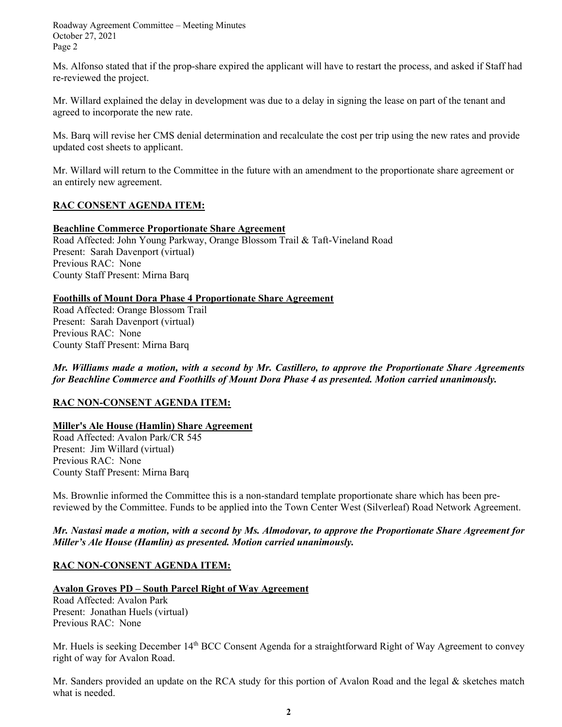Roadway Agreement Committee – Meeting Minutes October 27, 2021 Page 2

Ms. Alfonso stated that if the prop-share expired the applicant will have to restart the process, and asked if Staff had re-reviewed the project.

Mr. Willard explained the delay in development was due to a delay in signing the lease on part of the tenant and agreed to incorporate the new rate.

Ms. Barq will revise her CMS denial determination and recalculate the cost per trip using the new rates and provide updated cost sheets to applicant.

Mr. Willard will return to the Committee in the future with an amendment to the proportionate share agreement or an entirely new agreement.

## **RAC CONSENT AGENDA ITEM:**

#### **Beachline Commerce Proportionate Share Agreement**

Road Affected: John Young Parkway, Orange Blossom Trail & Taft-Vineland Road Present: Sarah Davenport (virtual) Previous RAC: None County Staff Present: Mirna Barq

## **Foothills of Mount Dora Phase 4 Proportionate Share Agreement**

Road Affected: Orange Blossom Trail Present: Sarah Davenport (virtual) Previous RAC: None County Staff Present: Mirna Barq

*Mr. Williams made a motion, with a second by Mr. Castillero, to approve the Proportionate Share Agreements for Beachline Commerce and Foothills of Mount Dora Phase 4 as presented. Motion carried unanimously.* 

## **RAC NON-CONSENT AGENDA ITEM:**

#### **Miller's Ale House (Hamlin) Share Agreement**

Road Affected: Avalon Park/CR 545 Present: Jim Willard (virtual) Previous RAC: None County Staff Present: Mirna Barq

Ms. Brownlie informed the Committee this is a non-standard template proportionate share which has been prereviewed by the Committee. Funds to be applied into the Town Center West (Silverleaf) Road Network Agreement.

*Mr. Nastasi made a motion, with a second by Ms. Almodovar, to approve the Proportionate Share Agreement for Miller's Ale House (Hamlin) as presented. Motion carried unanimously.* 

## **RAC NON-CONSENT AGENDA ITEM:**

## **Avalon Groves PD – South Parcel Right of Way Agreement**

Road Affected: Avalon Park Present: Jonathan Huels (virtual) Previous RAC: None

Mr. Huels is seeking December 14<sup>th</sup> BCC Consent Agenda for a straightforward Right of Way Agreement to convey right of way for Avalon Road.

Mr. Sanders provided an update on the RCA study for this portion of Avalon Road and the legal & sketches match what is needed.